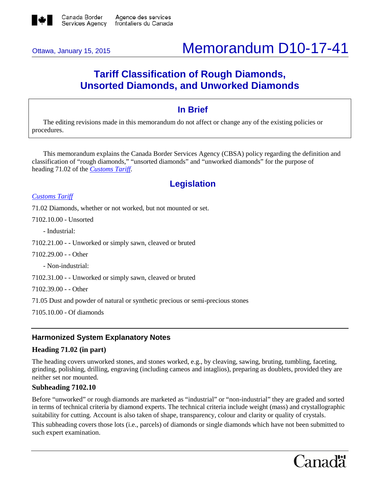

# Ottawa, January 15, <sup>2015</sup> Memorandum D10-17-41

# **Tariff Classification of Rough Diamonds, Unsorted Diamonds, and Unworked Diamonds**

# **In Brief**

The editing revisions made in this memorandum do not affect or change any of the existing policies or procedures.

This memorandum explains the Canada Border Services Agency (CBSA) policy regarding the definition and classification of "rough diamonds," "unsorted diamonds" and "unworked diamonds" for the purpose of heading 71.02 of the *[Customs](http://www.cbsa-asfc.gc.ca/trade-commerce/tariff-tarif/menu-eng.html) Tariff.*

# **Legislation**

#### *[Customs](http://www.cbsa-asfc.gc.ca/trade-commerce/tariff-tarif/menu-eng.html) Tariff*

71.02 Diamonds, whether or not worked, but not mounted or set.

7102.10.00 - Unsorted

- Industrial:

7102.21.00 - - Unworked or simply sawn, cleaved or bruted

7102.29.00 - - Other

- Non-industrial:

7102.31.00 - - Unworked or simply sawn, cleaved or bruted

7102.39.00 - - Other

71.05 Dust and powder of natural or synthetic precious or semi-precious stones

7105.10.00 - Of diamonds

# **Harmonized System Explanatory Notes**

#### **Heading 71.02 (in part)**

The heading covers unworked stones, and stones worked, e.g., by cleaving, sawing, bruting, tumbling, faceting, grinding, polishing, drilling, engraving (including cameos and intaglios), preparing as doublets, provided they are neither set nor mounted.

#### **Subheading 7102.10**

Before "unworked" or rough diamonds are marketed as "industrial" or "non-industrial" they are graded and sorted in terms of technical criteria by diamond experts. The technical criteria include weight (mass) and crystallographic suitability for cutting. Account is also taken of shape, transparency, colour and clarity or quality of crystals.

This subheading covers those lots (i.e., parcels) of diamonds or single diamonds which have not been submitted to such expert examination.

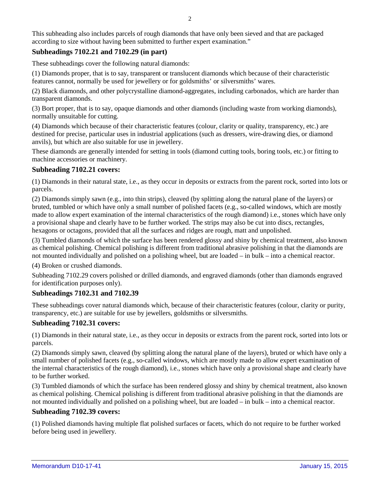This subheading also includes parcels of rough diamonds that have only been sieved and that are packaged according to size without having been submitted to further expert examination."

## **Subheadings 7102.21 and 7102.29 (in part)**

These subheadings cover the following natural diamonds:

(1) Diamonds proper, that is to say, transparent or translucent diamonds which because of their characteristic features cannot, normally be used for jewellery or for goldsmiths' or silversmiths' wares.

(2) Black diamonds, and other polycrystalline diamond-aggregates, including carbonados, which are harder than transparent diamonds.

(3) Bort proper, that is to say, opaque diamonds and other diamonds (including waste from working diamonds), normally unsuitable for cutting.

(4) Diamonds which because of their characteristic features (colour, clarity or quality, transparency, etc.) are destined for precise, particular uses in industrial applications (such as dressers, wire-drawing dies, or diamond anvils), but which are also suitable for use in jewellery.

These diamonds are generally intended for setting in tools (diamond cutting tools, boring tools, etc.) or fitting to machine accessories or machinery.

#### **Subheading 7102.21 covers:**

(1) Diamonds in their natural state, i.e., as they occur in deposits or extracts from the parent rock, sorted into lots or parcels.

(2) Diamonds simply sawn (e.g., into thin strips), cleaved (by splitting along the natural plane of the layers) or bruted, tumbled or which have only a small number of polished facets (e.g., so-called windows, which are mostly made to allow expert examination of the internal characteristics of the rough diamond) i.e., stones which have only a provisional shape and clearly have to be further worked. The strips may also be cut into discs, rectangles, hexagons or octagons, provided that all the surfaces and ridges are rough, matt and unpolished.

(3) Tumbled diamonds of which the surface has been rendered glossy and shiny by chemical treatment, also known as chemical polishing. Chemical polishing is different from traditional abrasive polishing in that the diamonds are not mounted individually and polished on a polishing wheel, but are loaded – in bulk – into a chemical reactor.

(4) Broken or crushed diamonds.

Subheading 7102.29 covers polished or drilled diamonds, and engraved diamonds (other than diamonds engraved for identification purposes only).

#### **Subheadings 7102.31 and 7102.39**

These subheadings cover natural diamonds which, because of their characteristic features (colour, clarity or purity, transparency, etc.) are suitable for use by jewellers, goldsmiths or silversmiths.

#### **Subheading 7102.31 covers:**

(1) Diamonds in their natural state, i.e., as they occur in deposits or extracts from the parent rock, sorted into lots or parcels.

(2) Diamonds simply sawn, cleaved (by splitting along the natural plane of the layers), bruted or which have only a small number of polished facets (e.g., so-called windows, which are mostly made to allow expert examination of the internal characteristics of the rough diamond), i.e., stones which have only a provisional shape and clearly have to be further worked.

(3) Tumbled diamonds of which the surface has been rendered glossy and shiny by chemical treatment, also known as chemical polishing. Chemical polishing is different from traditional abrasive polishing in that the diamonds are not mounted individually and polished on a polishing wheel, but are loaded – in bulk – into a chemical reactor.

#### **Subheading 7102.39 covers:**

(1) Polished diamonds having multiple flat polished surfaces or facets, which do not require to be further worked before being used in jewellery.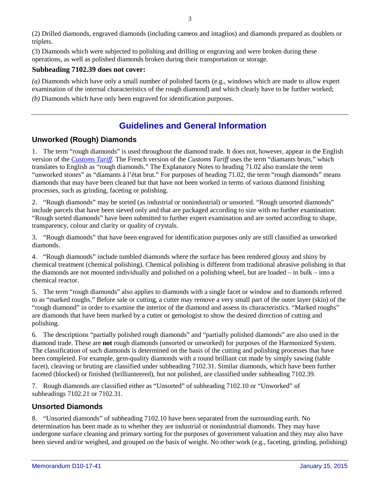(2) Drilled diamonds, engraved diamonds (including cameos and intaglios) and diamonds prepared as doublets or triplets.

(3) Diamonds which were subjected to polishing and drilling or engraving and were broken during these operations, as well as polished diamonds broken during their transportation or storage.

#### **Subheading 7102.39 does not cover:**

*(a)* Diamonds which have only a small number of polished facets (e.g., windows which are made to allow expert examination of the internal characteristics of the rough diamond) and which clearly have to be further worked;

*(b)* Diamonds which have only been engraved for identification purposes.

# **Guidelines and General Information**

## **Unworked (Rough) Diamonds**

1. The term "rough diamonds" is used throughout the diamond trade. It does not, however, appear in the English version of the *[Customs](http://www.cbsa-asfc.gc.ca/trade-commerce/tariff-tarif/menu-eng.html) Tariff*. The French version of the *Customs Tariff* uses the term "diamants bruts," which translates to English as "rough diamonds." The Explanatory Notes to heading 71.02 also translate the term "unworked stones" as "diamants à l'état brut." For purposes of heading 71.02, the term "rough diamonds" means diamonds that may have been cleaned but that have not been worked in terms of various diamond finishing processes, such as grinding, faceting or polishing.

2. "Rough diamonds" may be sorted (as industrial or nonindustrial) or unsorted. "Rough unsorted diamonds" include parcels that have been sieved only and that are packaged according to size with no further examination. "Rough sorted diamonds" have been submitted to further expert examination and are sorted according to shape, transparency, colour and clarity or quality of crystals.

3. "Rough diamonds" that have been engraved for identification purposes only are still classified as unworked diamonds.

4. "Rough diamonds" include tumbled diamonds where the surface has been rendered glossy and shiny by chemical treatment (chemical polishing). Chemical polishing is different from traditional abrasive polishing in that the diamonds are not mounted individually and polished on a polishing wheel, but are loaded – in bulk – into a chemical reactor.

5. The term "rough diamonds" also applies to diamonds with a single facet or window and to diamonds referred to as "marked roughs." Before sale or cutting, a cutter may remove a very small part of the outer layer (skin) of the "rough diamond" in order to examine the interior of the diamond and assess its characteristics. "Marked roughs" are diamonds that have been marked by a cutter or gemologist to show the desired direction of cutting and polishing.

6. The descriptions "partially polished rough diamonds" and "partially polished diamonds" are also used in the diamond trade. These are **not** rough diamonds (unsorted or unworked) for purposes of the Harmonized System. The classification of such diamonds is determined on the basis of the cutting and polishing processes that have been completed. For example, gem-quality diamonds with a round brilliant cut made by simply sawing (table facet), cleaving or bruting are classified under subheading 7102.31. Similar diamonds, which have been further faceted (blocked) or finished (brillianteered), but not polished, are classified under subheading 7102.39.

7. Rough diamonds are classified either as "Unsorted" of subheading 7102.10 or "Unworked" of subheadings 7102.21 or 7102.31.

## **Unsorted Diamonds**

8. "Unsorted diamonds" of subheading 7102.10 have been separated from the surrounding earth. No determination has been made as to whether they are industrial or nonindustrial diamonds. They may have undergone surface cleaning and primary sorting for the purposes of government valuation and they may also have been sieved and/or weighed, and grouped on the basis of weight. No other work (e.g., faceting, grinding, polishing)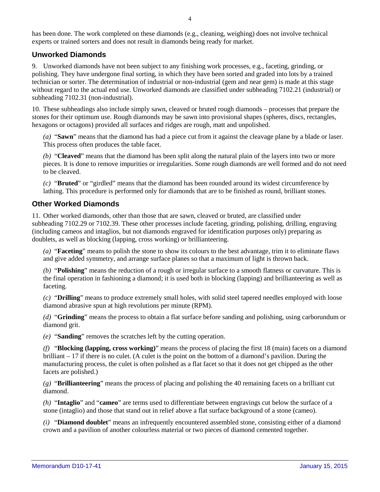has been done. The work completed on these diamonds (e.g., cleaning, weighing) does not involve technical experts or trained sorters and does not result in diamonds being ready for market.

#### **Unworked Diamonds**

9. Unworked diamonds have not been subject to any finishing work processes, e.g., faceting, grinding, or polishing. They have undergone final sorting, in which they have been sorted and graded into lots by a trained technician or sorter. The determination of industrial or non-industrial (gem and near gem) is made at this stage without regard to the actual end use. Unworked diamonds are classified under subheading 7102.21 (industrial) or subheading 7102.31 (non-industrial).

10. These subheadings also include simply sawn, cleaved or bruted rough diamonds – processes that prepare the stones for their optimum use. Rough diamonds may be sawn into provisional shapes (spheres, discs, rectangles, hexagons or octagons) provided all surfaces and ridges are rough, matt and unpolished.

*(a)* "**Sawn**" means that the diamond has had a piece cut from it against the cleavage plane by a blade or laser. This process often produces the table facet.

*(b)* "**Cleaved**" means that the diamond has been split along the natural plain of the layers into two or more pieces. It is done to remove impurities or irregularities. Some rough diamonds are well formed and do not need to be cleaved.

*(c)* "**Bruted**" or "girdled" means that the diamond has been rounded around its widest circumference by lathing. This procedure is performed only for diamonds that are to be finished as round, brilliant stones.

#### **Other Worked Diamonds**

11. Other worked diamonds, other than those that are sawn, cleaved or bruted, are classified under subheading 7102.29 or 7102.39. These other processes include faceting, grinding, polishing, drilling, engraving (including cameos and intaglios, but not diamonds engraved for identification purposes only) preparing as doublets, as well as blocking (lapping, cross working) or brillianteering.

*(a)* "**Faceting**" means to polish the stone to show its colours to the best advantage, trim it to eliminate flaws and give added symmetry, and arrange surface planes so that a maximum of light is thrown back.

*(b)* "**Polishing**" means the reduction of a rough or irregular surface to a smooth flatness or curvature. This is the final operation in fashioning a diamond; it is used both in blocking (lapping) and brillianteering as well as faceting.

*(c)* "**Drilling**" means to produce extremely small holes, with solid steel tapered needles employed with loose diamond abrasive spun at high revolutions per minute (RPM).

*(d)* "**Grinding**" means the process to obtain a flat surface before sanding and polishing, using carborundum or diamond grit.

*(e)* "**Sanding**" removes the scratches left by the cutting operation.

*(f)* "**Blocking (lapping, cross working)**" means the process of placing the first 18 (main) facets on a diamond brilliant – 17 if there is no culet. (A culet is the point on the bottom of a diamond's pavilion. During the manufacturing process, the culet is often polished as a flat facet so that it does not get chipped as the other facets are polished.)

*(g)* "**Brillianteering**" means the process of placing and polishing the 40 remaining facets on a brilliant cut diamond.

*(h)* "**Intaglio**" and "**cameo**" are terms used to differentiate between engravings cut below the surface of a stone (intaglio) and those that stand out in relief above a flat surface background of a stone (cameo).

*(i)* "**Diamond doublet**" means an infrequently encountered assembled stone, consisting either of a diamond crown and a pavilion of another colourless material or two pieces of diamond cemented together.